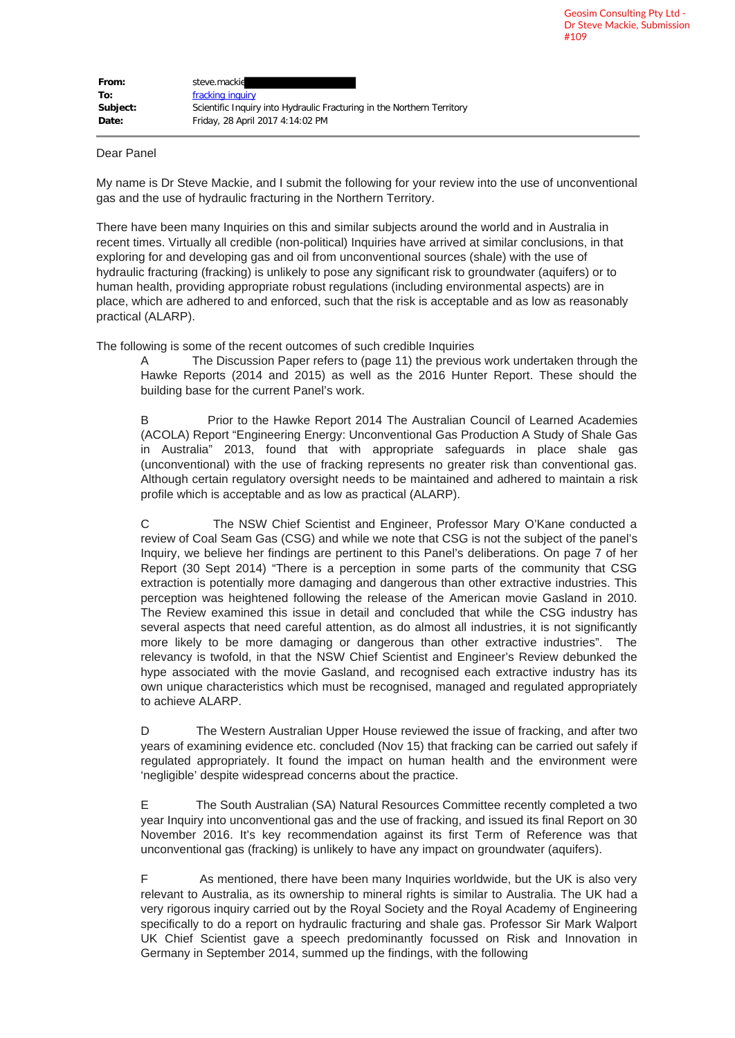| From:    | steve.mackid                                                           |
|----------|------------------------------------------------------------------------|
| To:      | fracking inquiry                                                       |
| Subject: | Scientific Inquiry into Hydraulic Fracturing in the Northern Territory |
| Date:    | Friday, 28 April 2017 4:14:02 PM                                       |

## Dear Panel

My name is Dr Steve Mackie, and I submit the following for your review into the use of unconventional gas and the use of hydraulic fracturing in the Northern Territory.

There have been many Inquiries on this and similar subjects around the world and in Australia in recent times. Virtually all credible (non-political) Inquiries have arrived at similar conclusions, in that exploring for and developing gas and oil from unconventional sources (shale) with the use of hydraulic fracturing (fracking) is unlikely to pose any significant risk to groundwater (aquifers) or to human health, providing appropriate robust regulations (including environmental aspects) are in place, which are adhered to and enforced, such that the risk is acceptable and as low as reasonably practical (ALARP).

The following is some of the recent outcomes of such credible Inquiries

A The Discussion Paper refers to (page 11) the previous work undertaken through the Hawke Reports (2014 and 2015) as well as the 2016 Hunter Report. These should the building base for the current Panel's work.

B Prior to the Hawke Report 2014 The Australian Council of Learned Academies (ACOLA) Report "Engineering Energy: Unconventional Gas Production A Study of Shale Gas in Australia" 2013, found that with appropriate safeguards in place shale gas (unconventional) with the use of fracking represents no greater risk than conventional gas. Although certain regulatory oversight needs to be maintained and adhered to maintain a risk profile which is acceptable and as low as practical (ALARP).

C The NSW Chief Scientist and Engineer, Professor Mary O'Kane conducted a review of Coal Seam Gas (CSG) and while we note that CSG is not the subject of the panel's Inquiry, we believe her findings are pertinent to this Panel's deliberations. On page 7 of her Report (30 Sept 2014) "There is a perception in some parts of the community that CSG extraction is potentially more damaging and dangerous than other extractive industries. This perception was heightened following the release of the American movie Gasland in 2010. The Review examined this issue in detail and concluded that while the CSG industry has several aspects that need careful attention, as do almost all industries, it is not significantly more likely to be more damaging or dangerous than other extractive industries". The relevancy is twofold, in that the NSW Chief Scientist and Engineer's Review debunked the hype associated with the movie Gasland, and recognised each extractive industry has its own unique characteristics which must be recognised, managed and regulated appropriately to achieve ALARP.

D The Western Australian Upper House reviewed the issue of fracking, and after two years of examining evidence etc. concluded (Nov 15) that fracking can be carried out safely if regulated appropriately. It found the impact on human health and the environment were 'negligible' despite widespread concerns about the practice.

E The South Australian (SA) Natural Resources Committee recently completed a two year Inquiry into unconventional gas and the use of fracking, and issued its final Report on 30 November 2016. It's key recommendation against its first Term of Reference was that unconventional gas (fracking) is unlikely to have any impact on groundwater (aquifers).

F As mentioned, there have been many Inquiries worldwide, but the UK is also very relevant to Australia, as its ownership to mineral rights is similar to Australia. The UK had a very rigorous inquiry carried out by the Royal Society and the Royal Academy of Engineering specifically to do a report on hydraulic fracturing and shale gas. Professor Sir Mark Walport UK Chief Scientist gave a speech predominantly focussed on Risk and Innovation in Germany in September 2014, summed up the findings, with the following